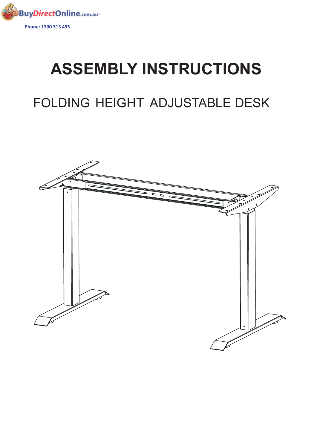

## **ASSEMBLY INSTRUCTIONS**

## FOLDING HEIGHT ADJUSTABLE DESK

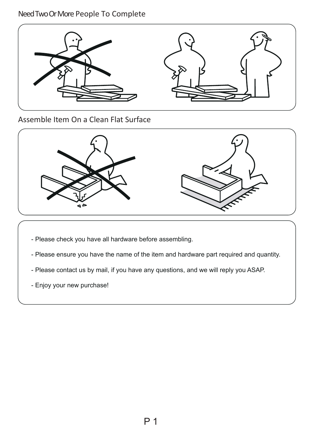## NeedTwoOrMore People To Complete



Assemble Item On a Clean Flat Surface



- Please check you have all hardware before assembling.
- Please ensure you have the name of the item and hardware part required and quantity.
- Please contact us by mail, if you have any questions, and we will reply you ASAP.
- Enjoy your new purchase!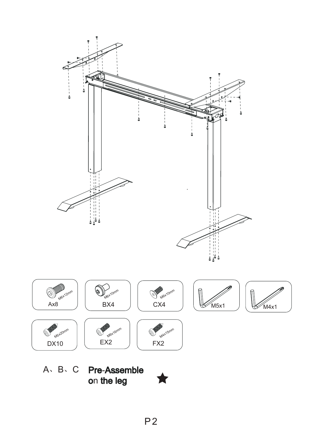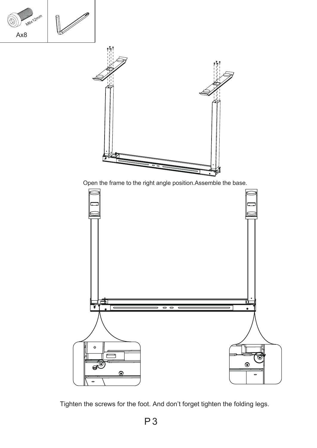

Open the frame to the right angle position.Assemble the base.



Tighten the screws for the foot. And don't forget tighten the folding legs.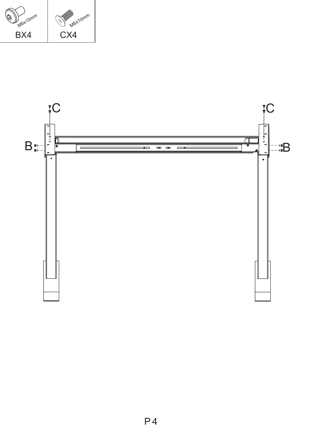

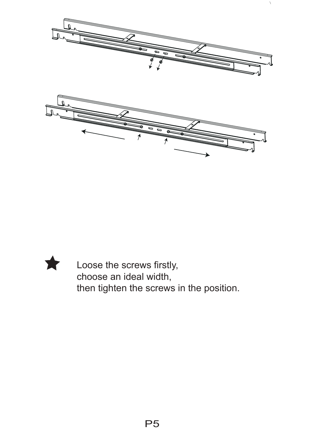

 $\chi$ 



Loose the screws firstly, choose an ideal width, then tighten the screws in the position.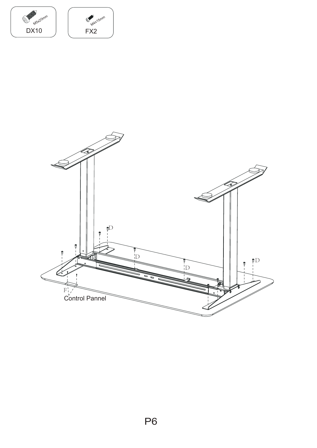

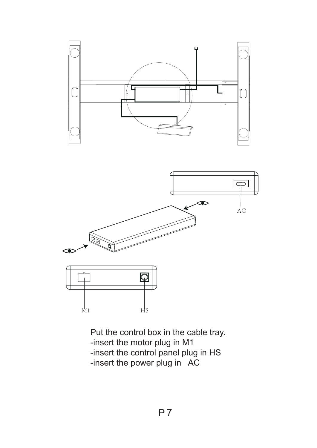





Put the control box in the cable tray. -insert the motor plug in M1 -insert the control panel plug in HS -insert the power plug in AC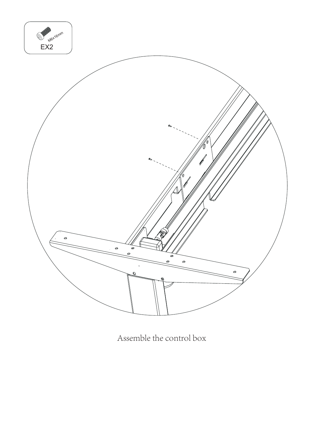

Assemble the control box